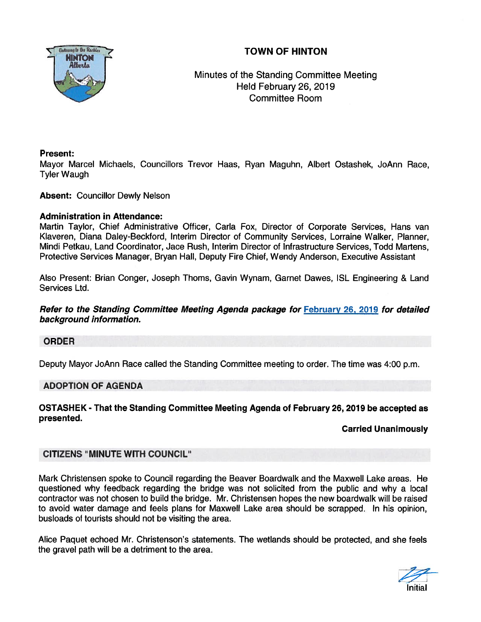# TOWN OF HINTON



## Minutes of the Standing Committee Meeting Held February 26, 2019 Committee Room

## Present:

Mayor Marcel Michaels, Councillors Trevor Haas, Ryan Maguhn, Albert Ostashek, JoAnn Race, Tyler Waugh

## Absent: Councillor Dewly Nelson

#### Administration in Attendance:

Martin Taylor, Chief Administrative Officer, Carla Fox, Director of Corporate Services, Hans van Klaveren, Diana Daley-Beckford, Interim Director of Community Services, Lorraine Walker, Planner, Mmdi Petkau, Land Coordinator, Jace Rush, Interim Director of Infrastructure Services, Todd Martens, Protective Services Manager, Bryan Hall, Deputy Fire Chief, Wendy Anderson, Executive Assistant

Also Present: Brian Conger, Joseph Thorns, Gavin Wynam, Garnet Dawes, ISL Engineering & Land Services Ltd.

Refer to the Standing Committee Meeting Agenda package for February 26, 2079 for detailed background information.

## ORDER

Deputy Mayor JoAnn Race called the Standing Committee meeting to order. The time was 4:00 p.m.

## ADOPTION OF AGENDA

## OSTASHEK - That the Standing Committee Meeting Agenda of February 26, 2019 be accepted as presented.

## Carried Unanimously

## CITIZENS "MINUTE WITH COUNCIL"

Mark Christensen spoke to Council regarding the Beaver Boardwalk and the Maxwell Lake areas. He questioned why feedback regarding the bridge was not solicited from the public and why <sup>a</sup> local contractor was not chosen to build the bridge. Mr. Christensen hopes the new boardwalk will be raised to avoid water damage and feels plans for Maxwell Lake area should be scrapped. In his opinion, busloads of tourists should not be visiting the area.

Alice Paquet echoed Mr. Christenson's statements. The wetlands should be protected, and she feels the gravel path will be <sup>a</sup> detriment to the area.

Initial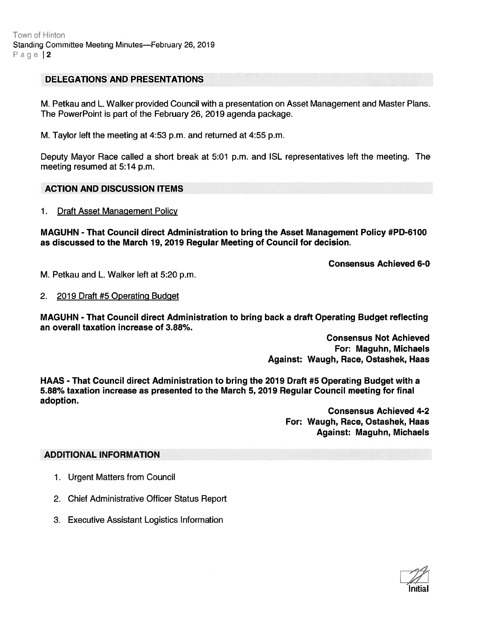#### DELEGATIONS AND PRESENTATIONS

M. Petkau and L. Walker provided Council with <sup>a</sup> presentation on Asset Management and Master Plans. The PowerPoint is par<sup>t</sup> of the February 26, 2019 agenda package.

M. Taylor left the meeting at 4:53 p.m. and returned at 4:55 p.m.

Deputy Mayor Race called <sup>a</sup> short break at 5:01 p.m. and ISL representatives left the meeting. The meeting resumed at 5:14 p.m.

#### ACTION AND DISCUSSION ITEMS

1. Draft Asset Management Policy

MAGUHN - That Council direct Administration to bring the Asset Management Policy #PD-6100 as discussed to the March 19, 2079 Regular Meeting of Council for decision.

Consensus Achieved 6-0

M. Petkau and L. Walker left at 5:20 p.m.

2. 2019 Draft #5 Operating Budget

MAGUHN - That Council direct Administration to bring back <sup>a</sup> draft Operating Budget reflecting an overall taxation increase of 3.88%.

> Consensus Not Achieved For: Maguhn, Michaels Against: Waugh, Race, Ostashek, Haas

HAAS - That Council direct Administration to bring the 2019 Draft #5 Operating Budget with <sup>a</sup> 5.88% taxation increase as presented to the March 5, 2019 Regular Council meeting for final adoption.

> Consensus Achieved 4-2 For: Waugh, Race, Ostashek, Haas Against: Maguhn, Michaels

#### ADDITIONAL INFORMATION

- 1. Urgent Matters from Council
- 2. Chief Administrative Officer Status Report
- 3. Executive Assistant Logistics Information